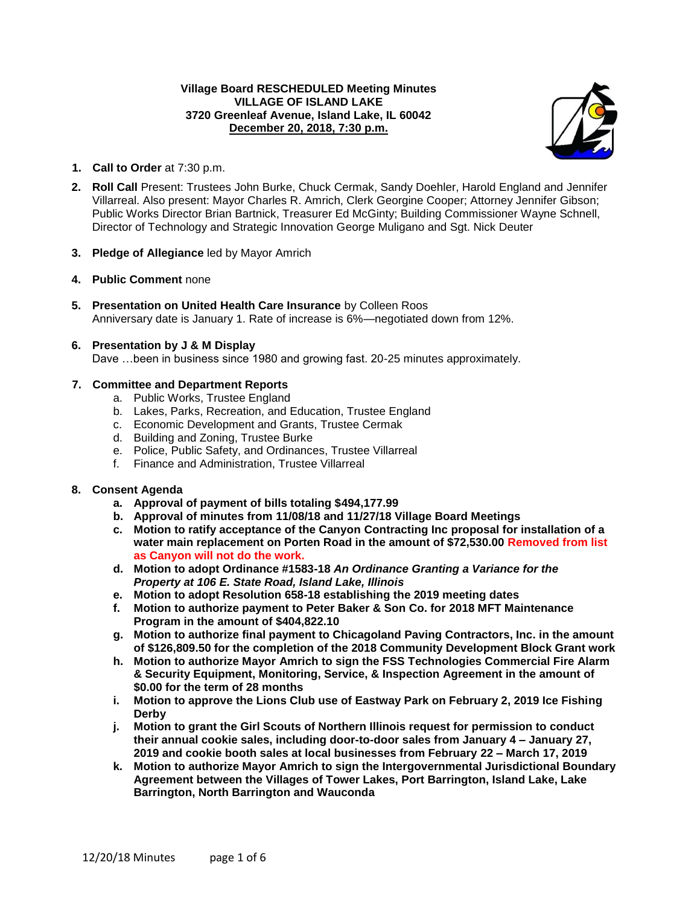## **Village Board RESCHEDULED Meeting Minutes VILLAGE OF ISLAND LAKE 3720 Greenleaf Avenue, Island Lake, IL 60042 December 20, 2018, 7:30 p.m.**



- **1. Call to Order** at 7:30 p.m.
- **2. Roll Call** Present: Trustees John Burke, Chuck Cermak, Sandy Doehler, Harold England and Jennifer Villarreal. Also present: Mayor Charles R. Amrich, Clerk Georgine Cooper; Attorney Jennifer Gibson; Public Works Director Brian Bartnick, Treasurer Ed McGinty; Building Commissioner Wayne Schnell, Director of Technology and Strategic Innovation George Muligano and Sgt. Nick Deuter
- **3. Pledge of Allegiance** led by Mayor Amrich
- **4. Public Comment** none
- **5. Presentation on United Health Care Insurance** by Colleen Roos Anniversary date is January 1. Rate of increase is 6%—negotiated down from 12%.
- **6. Presentation by J & M Display** Dave …been in business since 1980 and growing fast. 20-25 minutes approximately.

## **7. Committee and Department Reports**

- a. Public Works, Trustee England
- b. Lakes, Parks, Recreation, and Education, Trustee England
- c. Economic Development and Grants, Trustee Cermak
- d. Building and Zoning, Trustee Burke
- e. Police, Public Safety, and Ordinances, Trustee Villarreal
- f. Finance and Administration, Trustee Villarreal

#### **8. Consent Agenda**

- **a. Approval of payment of bills totaling \$494,177.99**
- **b. Approval of minutes from 11/08/18 and 11/27/18 Village Board Meetings**
- **c. Motion to ratify acceptance of the Canyon Contracting Inc proposal for installation of a water main replacement on Porten Road in the amount of \$72,530.00 Removed from list as Canyon will not do the work.**
- **d. Motion to adopt Ordinance #1583-18** *An Ordinance Granting a Variance for the Property at 106 E. State Road, Island Lake, Illinois*
- **e. Motion to adopt Resolution 658-18 establishing the 2019 meeting dates**
- **f. Motion to authorize payment to Peter Baker & Son Co. for 2018 MFT Maintenance Program in the amount of \$404,822.10**
- **g. Motion to authorize final payment to Chicagoland Paving Contractors, Inc. in the amount of \$126,809.50 for the completion of the 2018 Community Development Block Grant work**
- **h. Motion to authorize Mayor Amrich to sign the FSS Technologies Commercial Fire Alarm & Security Equipment, Monitoring, Service, & Inspection Agreement in the amount of \$0.00 for the term of 28 months**
- **i. Motion to approve the Lions Club use of Eastway Park on February 2, 2019 Ice Fishing Derby**
- **j. Motion to grant the Girl Scouts of Northern Illinois request for permission to conduct their annual cookie sales, including door-to-door sales from January 4 – January 27, 2019 and cookie booth sales at local businesses from February 22 – March 17, 2019**
- **k. Motion to authorize Mayor Amrich to sign the Intergovernmental Jurisdictional Boundary Agreement between the Villages of Tower Lakes, Port Barrington, Island Lake, Lake Barrington, North Barrington and Wauconda**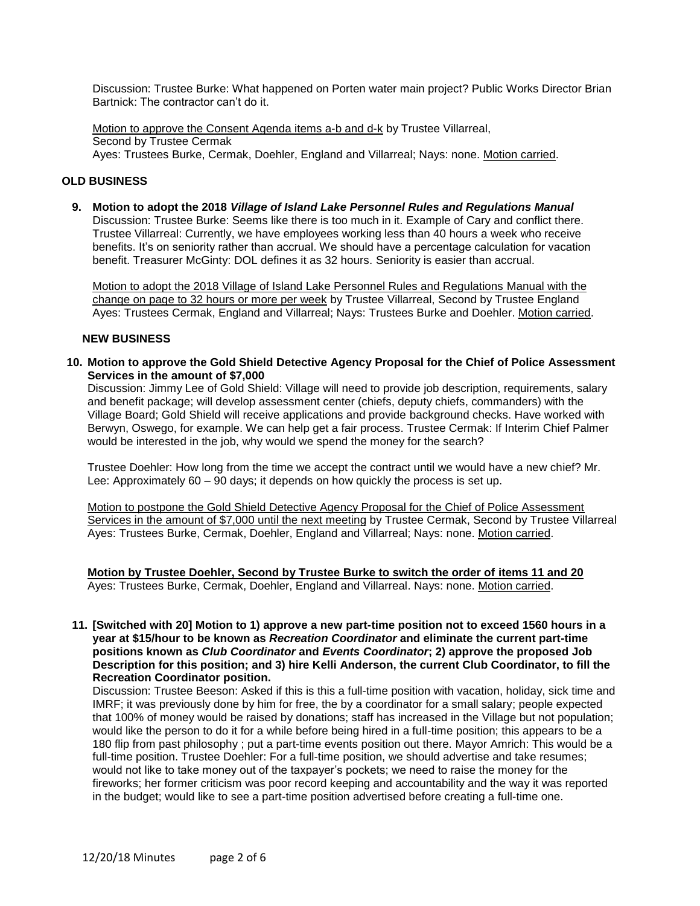Discussion: Trustee Burke: What happened on Porten water main project? Public Works Director Brian Bartnick: The contractor can't do it.

Motion to approve the Consent Agenda items a-b and d-k by Trustee Villarreal, Second by Trustee Cermak Ayes: Trustees Burke, Cermak, Doehler, England and Villarreal; Nays: none. Motion carried.

## **OLD BUSINESS**

**9. Motion to adopt the 2018** *Village of Island Lake Personnel Rules and Regulations Manual* Discussion: Trustee Burke: Seems like there is too much in it. Example of Cary and conflict there. Trustee Villarreal: Currently, we have employees working less than 40 hours a week who receive benefits. It's on seniority rather than accrual. We should have a percentage calculation for vacation benefit. Treasurer McGinty: DOL defines it as 32 hours. Seniority is easier than accrual.

Motion to adopt the 2018 Village of Island Lake Personnel Rules and Regulations Manual with the change on page to 32 hours or more per week by Trustee Villarreal, Second by Trustee England Ayes: Trustees Cermak, England and Villarreal; Nays: Trustees Burke and Doehler. Motion carried.

### **NEW BUSINESS**

**10. Motion to approve the Gold Shield Detective Agency Proposal for the Chief of Police Assessment Services in the amount of \$7,000**

Discussion: Jimmy Lee of Gold Shield: Village will need to provide job description, requirements, salary and benefit package; will develop assessment center (chiefs, deputy chiefs, commanders) with the Village Board; Gold Shield will receive applications and provide background checks. Have worked with Berwyn, Oswego, for example. We can help get a fair process. Trustee Cermak: If Interim Chief Palmer would be interested in the job, why would we spend the money for the search?

Trustee Doehler: How long from the time we accept the contract until we would have a new chief? Mr. Lee: Approximately 60 – 90 days; it depends on how quickly the process is set up.

Motion to postpone the Gold Shield Detective Agency Proposal for the Chief of Police Assessment Services in the amount of \$7,000 until the next meeting by Trustee Cermak, Second by Trustee Villarreal Ayes: Trustees Burke, Cermak, Doehler, England and Villarreal; Nays: none. Motion carried.

**Motion by Trustee Doehler, Second by Trustee Burke to switch the order of items 11 and 20** Ayes: Trustees Burke, Cermak, Doehler, England and Villarreal. Nays: none. Motion carried.

**11. [Switched with 20] Motion to 1) approve a new part-time position not to exceed 1560 hours in a year at \$15/hour to be known as** *Recreation Coordinator* **and eliminate the current part-time positions known as** *Club Coordinator* **and** *Events Coordinator***; 2) approve the proposed Job Description for this position; and 3) hire Kelli Anderson, the current Club Coordinator, to fill the Recreation Coordinator position.**

Discussion: Trustee Beeson: Asked if this is this a full-time position with vacation, holiday, sick time and IMRF; it was previously done by him for free, the by a coordinator for a small salary; people expected that 100% of money would be raised by donations; staff has increased in the Village but not population; would like the person to do it for a while before being hired in a full-time position; this appears to be a 180 flip from past philosophy ; put a part-time events position out there. Mayor Amrich: This would be a full-time position. Trustee Doehler: For a full-time position, we should advertise and take resumes; would not like to take money out of the taxpayer's pockets; we need to raise the money for the fireworks; her former criticism was poor record keeping and accountability and the way it was reported in the budget; would like to see a part-time position advertised before creating a full-time one.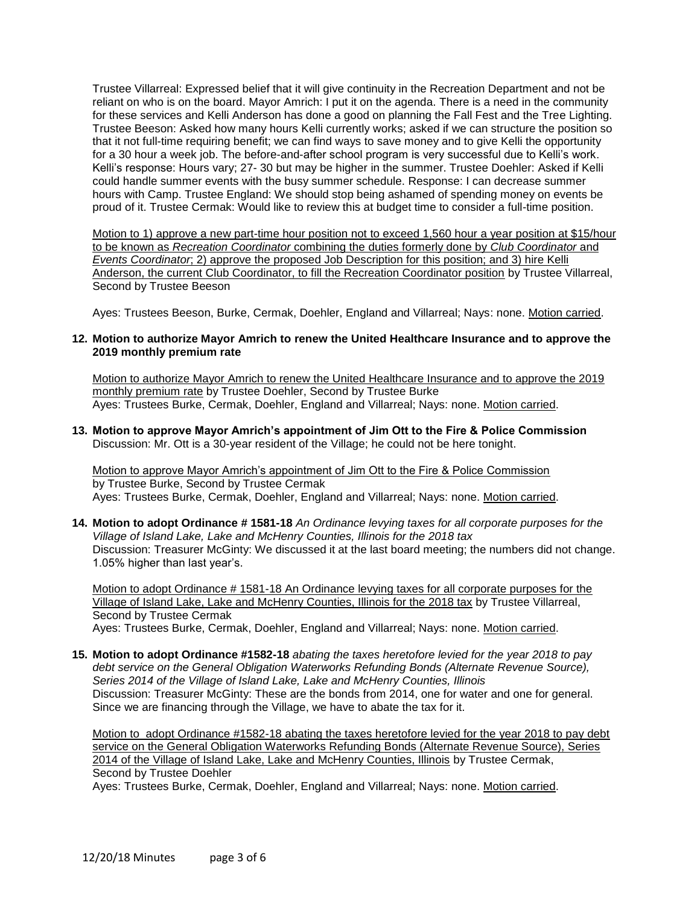Trustee Villarreal: Expressed belief that it will give continuity in the Recreation Department and not be reliant on who is on the board. Mayor Amrich: I put it on the agenda. There is a need in the community for these services and Kelli Anderson has done a good on planning the Fall Fest and the Tree Lighting. Trustee Beeson: Asked how many hours Kelli currently works; asked if we can structure the position so that it not full-time requiring benefit; we can find ways to save money and to give Kelli the opportunity for a 30 hour a week job. The before-and-after school program is very successful due to Kelli's work. Kelli's response: Hours vary; 27- 30 but may be higher in the summer. Trustee Doehler: Asked if Kelli could handle summer events with the busy summer schedule. Response: I can decrease summer hours with Camp. Trustee England: We should stop being ashamed of spending money on events be proud of it. Trustee Cermak: Would like to review this at budget time to consider a full-time position.

Motion to 1) approve a new part-time hour position not to exceed 1,560 hour a year position at \$15/hour to be known as *Recreation Coordinator* combining the duties formerly done by *Club Coordinator* and *Events Coordinator*; 2) approve the proposed Job Description for this position; and 3) hire Kelli Anderson, the current Club Coordinator, to fill the Recreation Coordinator position by Trustee Villarreal, Second by Trustee Beeson

Ayes: Trustees Beeson, Burke, Cermak, Doehler, England and Villarreal; Nays: none. Motion carried.

## **12. Motion to authorize Mayor Amrich to renew the United Healthcare Insurance and to approve the 2019 monthly premium rate**

Motion to authorize Mayor Amrich to renew the United Healthcare Insurance and to approve the 2019 monthly premium rate by Trustee Doehler, Second by Trustee Burke Ayes: Trustees Burke, Cermak, Doehler, England and Villarreal; Nays: none. Motion carried.

**13. Motion to approve Mayor Amrich's appointment of Jim Ott to the Fire & Police Commission** Discussion: Mr. Ott is a 30-year resident of the Village; he could not be here tonight.

Motion to approve Mayor Amrich's appointment of Jim Ott to the Fire & Police Commission by Trustee Burke, Second by Trustee Cermak Ayes: Trustees Burke, Cermak, Doehler, England and Villarreal; Nays: none. Motion carried.

**14. Motion to adopt Ordinance # 1581-18** *An Ordinance levying taxes for all corporate purposes for the Village of Island Lake, Lake and McHenry Counties, Illinois for the 2018 tax* Discussion: Treasurer McGinty: We discussed it at the last board meeting; the numbers did not change. 1.05% higher than last year's.

Motion to adopt Ordinance # 1581-18 An Ordinance levying taxes for all corporate purposes for the Village of Island Lake, Lake and McHenry Counties, Illinois for the 2018 tax by Trustee Villarreal, Second by Trustee Cermak Ayes: Trustees Burke, Cermak, Doehler, England and Villarreal; Nays: none. Motion carried.

**15. Motion to adopt Ordinance #1582-18** *abating the taxes heretofore levied for the year 2018 to pay debt service on the General Obligation Waterworks Refunding Bonds (Alternate Revenue Source), Series 2014 of the Village of Island Lake, Lake and McHenry Counties, Illinois* Discussion: Treasurer McGinty: These are the bonds from 2014, one for water and one for general. Since we are financing through the Village, we have to abate the tax for it.

Motion to adopt Ordinance #1582-18 abating the taxes heretofore levied for the year 2018 to pay debt service on the General Obligation Waterworks Refunding Bonds (Alternate Revenue Source), Series 2014 of the Village of Island Lake, Lake and McHenry Counties, Illinois by Trustee Cermak, Second by Trustee Doehler

Ayes: Trustees Burke, Cermak, Doehler, England and Villarreal; Nays: none. Motion carried.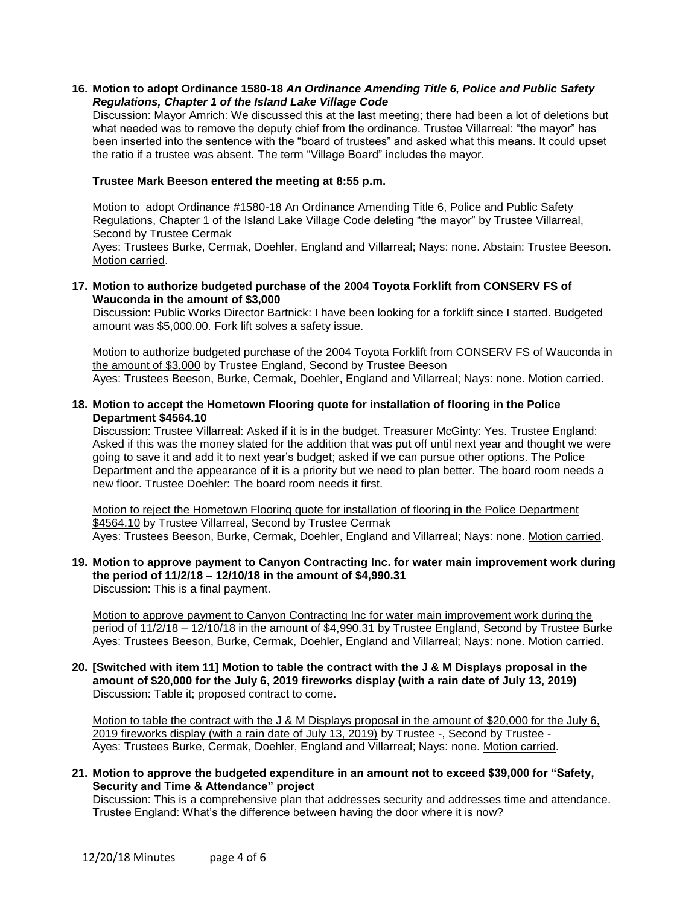#### **16. Motion to adopt Ordinance 1580-18** *An Ordinance Amending Title 6, Police and Public Safety Regulations, Chapter 1 of the Island Lake Village Code*

Discussion: Mayor Amrich: We discussed this at the last meeting; there had been a lot of deletions but what needed was to remove the deputy chief from the ordinance. Trustee Villarreal: "the mayor" has been inserted into the sentence with the "board of trustees" and asked what this means. It could upset the ratio if a trustee was absent. The term "Village Board" includes the mayor.

## **Trustee Mark Beeson entered the meeting at 8:55 p.m.**

Motion to adopt Ordinance #1580-18 An Ordinance Amending Title 6, Police and Public Safety Regulations, Chapter 1 of the Island Lake Village Code deleting "the mayor" by Trustee Villarreal, Second by Trustee Cermak Ayes: Trustees Burke, Cermak, Doehler, England and Villarreal; Nays: none. Abstain: Trustee Beeson. Motion carried.

### **17. Motion to authorize budgeted purchase of the 2004 Toyota Forklift from CONSERV FS of Wauconda in the amount of \$3,000**

Discussion: Public Works Director Bartnick: I have been looking for a forklift since I started. Budgeted amount was \$5,000.00. Fork lift solves a safety issue.

Motion to authorize budgeted purchase of the 2004 Toyota Forklift from CONSERV FS of Wauconda in the amount of \$3,000 by Trustee England, Second by Trustee Beeson Ayes: Trustees Beeson, Burke, Cermak, Doehler, England and Villarreal; Nays: none. Motion carried.

## **18. Motion to accept the Hometown Flooring quote for installation of flooring in the Police Department \$4564.10**

Discussion: Trustee Villarreal: Asked if it is in the budget. Treasurer McGinty: Yes. Trustee England: Asked if this was the money slated for the addition that was put off until next year and thought we were going to save it and add it to next year's budget; asked if we can pursue other options. The Police Department and the appearance of it is a priority but we need to plan better. The board room needs a new floor. Trustee Doehler: The board room needs it first.

Motion to reject the Hometown Flooring quote for installation of flooring in the Police Department \$4564.10 by Trustee Villarreal, Second by Trustee Cermak Ayes: Trustees Beeson, Burke, Cermak, Doehler, England and Villarreal; Nays: none. Motion carried.

#### **19. Motion to approve payment to Canyon Contracting Inc. for water main improvement work during the period of 11/2/18 – 12/10/18 in the amount of \$4,990.31** Discussion: This is a final payment.

Motion to approve payment to Canyon Contracting Inc for water main improvement work during the period of 11/2/18 – 12/10/18 in the amount of \$4,990.31 by Trustee England, Second by Trustee Burke Ayes: Trustees Beeson, Burke, Cermak, Doehler, England and Villarreal; Nays: none. Motion carried.

#### **20. [Switched with item 11] Motion to table the contract with the J & M Displays proposal in the amount of \$20,000 for the July 6, 2019 fireworks display (with a rain date of July 13, 2019)** Discussion: Table it; proposed contract to come.

Motion to table the contract with the J & M Displays proposal in the amount of \$20,000 for the July 6, 2019 fireworks display (with a rain date of July 13, 2019) by Trustee -, Second by Trustee - Ayes: Trustees Burke, Cermak, Doehler, England and Villarreal; Nays: none. Motion carried.

## **21. Motion to approve the budgeted expenditure in an amount not to exceed \$39,000 for "Safety, Security and Time & Attendance" project**

Discussion: This is a comprehensive plan that addresses security and addresses time and attendance. Trustee England: What's the difference between having the door where it is now?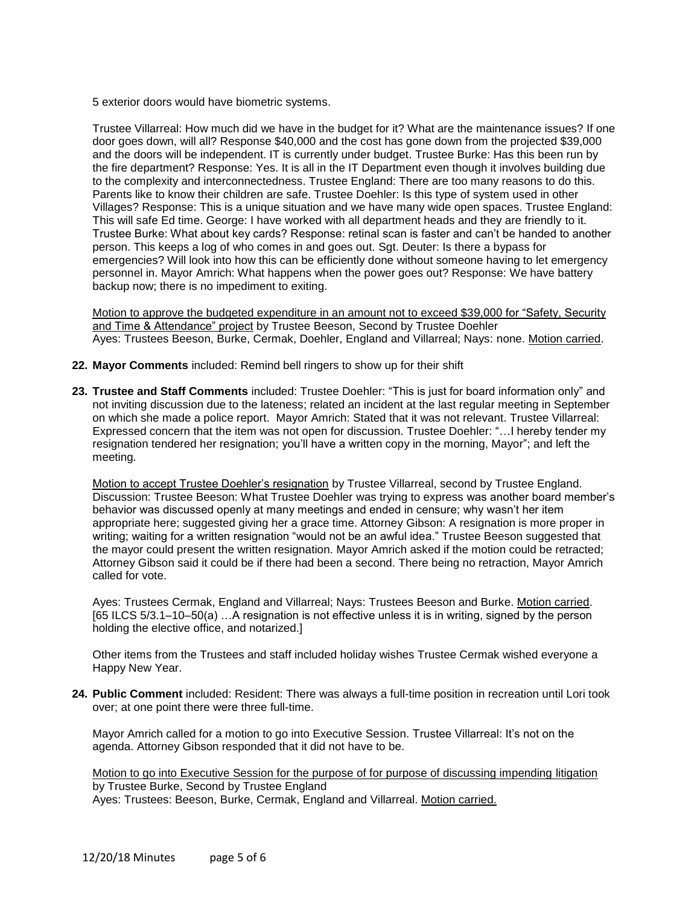5 exterior doors would have biometric systems.

Trustee Villarreal: How much did we have in the budget for it? What are the maintenance issues? If one door goes down, will all? Response \$40,000 and the cost has gone down from the projected \$39,000 and the doors will be independent. IT is currently under budget. Trustee Burke: Has this been run by the fire department? Response: Yes. It is all in the IT Department even though it involves building due to the complexity and interconnectedness. Trustee England: There are too many reasons to do this. Parents like to know their children are safe. Trustee Doehler: Is this type of system used in other Villages? Response: This is a unique situation and we have many wide open spaces. Trustee England: This will safe Ed time. George: I have worked with all department heads and they are friendly to it. Trustee Burke: What about key cards? Response: retinal scan is faster and can't be handed to another person. This keeps a log of who comes in and goes out. Sgt. Deuter: Is there a bypass for emergencies? Will look into how this can be efficiently done without someone having to let emergency personnel in. Mayor Amrich: What happens when the power goes out? Response: We have battery backup now; there is no impediment to exiting.

Motion to approve the budgeted expenditure in an amount not to exceed \$39,000 for "Safety, Security and Time & Attendance" project by Trustee Beeson, Second by Trustee Doehler Ayes: Trustees Beeson, Burke, Cermak, Doehler, England and Villarreal; Nays: none. Motion carried.

- **22. Mayor Comments** included: Remind bell ringers to show up for their shift
- **23. Trustee and Staff Comments** included: Trustee Doehler: "This is just for board information only" and not inviting discussion due to the lateness; related an incident at the last regular meeting in September on which she made a police report. Mayor Amrich: Stated that it was not relevant. Trustee Villarreal: Expressed concern that the item was not open for discussion. Trustee Doehler: "…I hereby tender my resignation tendered her resignation; you'll have a written copy in the morning, Mayor"; and left the meeting.

Motion to accept Trustee Doehler's resignation by Trustee Villarreal, second by Trustee England. Discussion: Trustee Beeson: What Trustee Doehler was trying to express was another board member's behavior was discussed openly at many meetings and ended in censure; why wasn't her item appropriate here; suggested giving her a grace time. Attorney Gibson: A resignation is more proper in writing; waiting for a written resignation "would not be an awful idea." Trustee Beeson suggested that the mayor could present the written resignation. Mayor Amrich asked if the motion could be retracted; Attorney Gibson said it could be if there had been a second. There being no retraction, Mayor Amrich called for vote.

Ayes: Trustees Cermak, England and Villarreal; Nays: Trustees Beeson and Burke. Motion carried. [65 ILCS 5/3.1–10–50(a) …A resignation is not effective unless it is in writing, signed by the person holding the elective office, and notarized.]

Other items from the Trustees and staff included holiday wishes Trustee Cermak wished everyone a Happy New Year.

**24. Public Comment** included: Resident: There was always a full-time position in recreation until Lori took over; at one point there were three full-time.

Mayor Amrich called for a motion to go into Executive Session. Trustee Villarreal: It's not on the agenda. Attorney Gibson responded that it did not have to be.

Motion to go into Executive Session for the purpose of for purpose of discussing impending litigation by Trustee Burke, Second by Trustee England Ayes: Trustees: Beeson, Burke, Cermak, England and Villarreal. Motion carried.